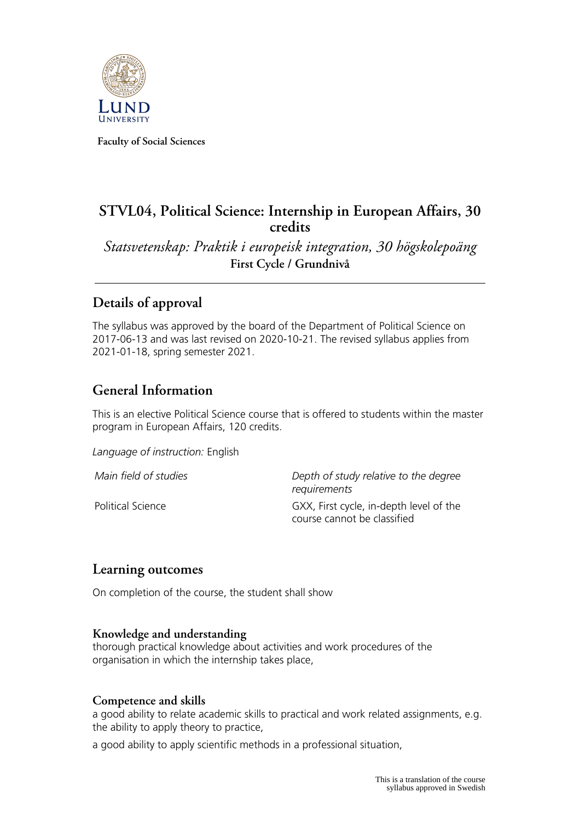

**Faculty of Social Sciences**

# **STVL04, Political Science: Internship in European Affairs, 30 credits**

*Statsvetenskap: Praktik i europeisk integration, 30 högskolepoäng* **First Cycle / Grundnivå**

# **Details of approval**

The syllabus was approved by the board of the Department of Political Science on 2017-06-13 and was last revised on 2020-10-21. The revised syllabus applies from 2021-01-18, spring semester 2021.

# **General Information**

This is an elective Political Science course that is offered to students within the master program in European Affairs, 120 credits.

*Language of instruction:* English

*Main field of studies Depth of study relative to the degree requirements* Political Science **Figure 1** GXX, First cycle, in-depth level of the course cannot be classified

# **Learning outcomes**

On completion of the course, the student shall show

#### **Knowledge and understanding**

thorough practical knowledge about activities and work procedures of the organisation in which the internship takes place,

#### **Competence and skills**

a good ability to relate academic skills to practical and work related assignments, e.g. the ability to apply theory to practice,

a good ability to apply scientific methods in a professional situation,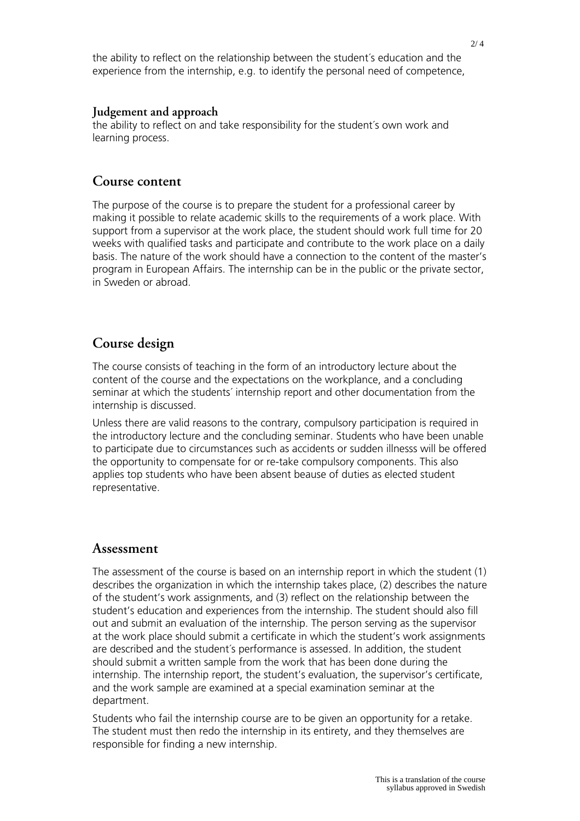the ability to reflect on the relationship between the student´s education and the experience from the internship, e.g. to identify the personal need of competence,

#### **Judgement and approach**

the ability to reflect on and take responsibility for the student´s own work and learning process.

#### **Course content**

The purpose of the course is to prepare the student for a professional career by making it possible to relate academic skills to the requirements of a work place. With support from a supervisor at the work place, the student should work full time for 20 weeks with qualified tasks and participate and contribute to the work place on a daily basis. The nature of the work should have a connection to the content of the master's program in European Affairs. The internship can be in the public or the private sector, in Sweden or abroad.

### **Course design**

The course consists of teaching in the form of an introductory lecture about the content of the course and the expectations on the workplance, and a concluding seminar at which the students´ internship report and other documentation from the internship is discussed.

Unless there are valid reasons to the contrary, compulsory participation is required in the introductory lecture and the concluding seminar. Students who have been unable to participate due to circumstances such as accidents or sudden illnesss will be offered the opportunity to compensate for or re-take compulsory components. This also applies top students who have been absent beause of duties as elected student representative.

#### **Assessment**

The assessment of the course is based on an internship report in which the student (1) describes the organization in which the internship takes place, (2) describes the nature of the student's work assignments, and (3) reflect on the relationship between the student's education and experiences from the internship. The student should also fill out and submit an evaluation of the internship. The person serving as the supervisor at the work place should submit a certificate in which the student's work assignments are described and the student´s performance is assessed. In addition, the student should submit a written sample from the work that has been done during the internship. The internship report, the student's evaluation, the supervisor's certificate, and the work sample are examined at a special examination seminar at the department.

Students who fail the internship course are to be given an opportunity for a retake. The student must then redo the internship in its entirety, and they themselves are responsible for finding a new internship.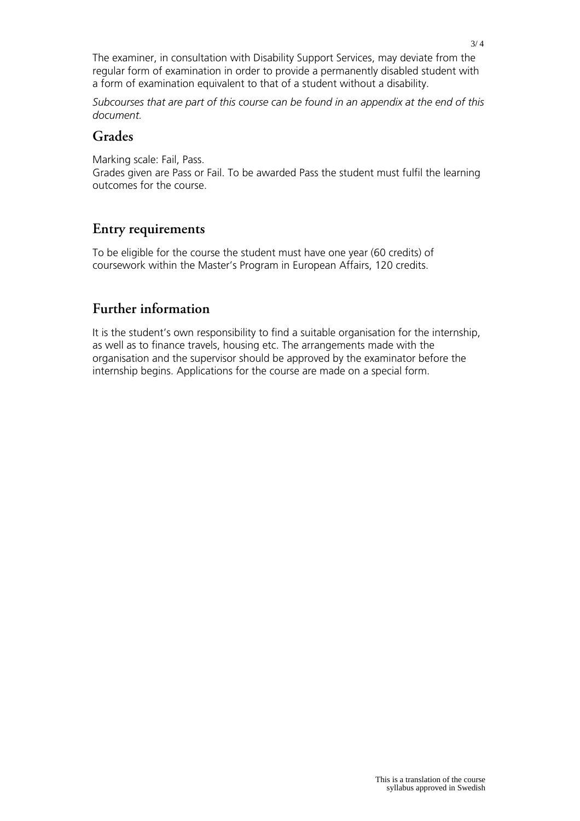The examiner, in consultation with Disability Support Services, may deviate from the regular form of examination in order to provide a permanently disabled student with a form of examination equivalent to that of a student without a disability.

*Subcourses that are part of this course can be found in an appendix at the end of this document.*

### **Grades**

Marking scale: Fail, Pass.

Grades given are Pass or Fail. To be awarded Pass the student must fulfil the learning outcomes for the course.

# **Entry requirements**

To be eligible for the course the student must have one year (60 credits) of coursework within the Master's Program in European Affairs, 120 credits.

# **Further information**

It is the student's own responsibility to find a suitable organisation for the internship, as well as to finance travels, housing etc. The arrangements made with the organisation and the supervisor should be approved by the examinator before the internship begins. Applications for the course are made on a special form.